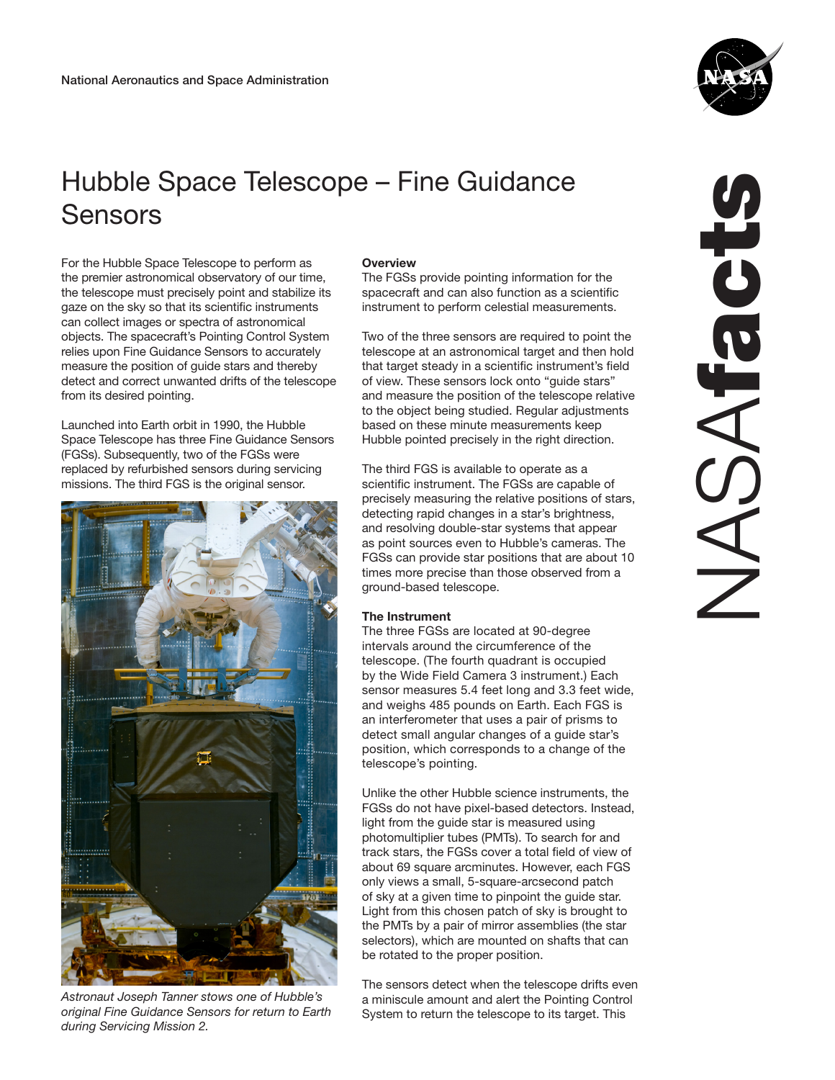## Hubble Space Telescope – Fine Guidance Sensors

For the Hubble Space Telescope to perform as the premier astronomical observatory of our time, the telescope must precisely point and stabilize its gaze on the sky so that its scientific instruments can collect images or spectra of astronomical objects. The spacecraft's Pointing Control System relies upon Fine Guidance Sensors to accurately measure the position of guide stars and thereby detect and correct unwanted drifts of the telescope from its desired pointing.

Launched into Earth orbit in 1990, the Hubble Space Telescope has three Fine Guidance Sensors (FGSs). Subsequently, two of the FGSs were replaced by refurbished sensors during servicing missions. The third FGS is the original sensor.



*Astronaut Joseph Tanner stows one of Hubble's original Fine Guidance Sensors for return to Earth during Servicing Mission 2.*

## **Overview**

The FGSs provide pointing information for the spacecraft and can also function as a scientific instrument to perform celestial measurements.

Two of the three sensors are required to point the telescope at an astronomical target and then hold that target steady in a scientific instrument's field of view. These sensors lock onto "guide stars" and measure the position of the telescope relative to the object being studied. Regular adjustments based on these minute measurements keep Hubble pointed precisely in the right direction.

The third FGS is available to operate as a scientific instrument. The FGSs are capable of precisely measuring the relative positions of stars, detecting rapid changes in a star's brightness, and resolving double-star systems that appear as point sources even to Hubble's cameras. The FGSs can provide star positions that are about 10 times more precise than those observed from a ground-based telescope.

## The Instrument

The three FGSs are located at 90-degree intervals around the circumference of the telescope. (The fourth quadrant is occupied by the Wide Field Camera 3 instrument.) Each sensor measures 5.4 feet long and 3.3 feet wide, and weighs 485 pounds on Earth. Each FGS is an interferometer that uses a pair of prisms to detect small angular changes of a guide star's position, which corresponds to a change of the telescope's pointing.

Unlike the other Hubble science instruments, the FGSs do not have pixel-based detectors. Instead, light from the guide star is measured using photomultiplier tubes (PMTs). To search for and track stars, the FGSs cover a total field of view of about 69 square arcminutes. However, each FGS only views a small, 5-square-arcsecond patch of sky at a given time to pinpoint the guide star. Light from this chosen patch of sky is brought to the PMTs by a pair of mirror assemblies (the star selectors), which are mounted on shafts that can be rotated to the proper position.

The sensors detect when the telescope drifts even a miniscule amount and alert the Pointing Control System to return the telescope to its target. This